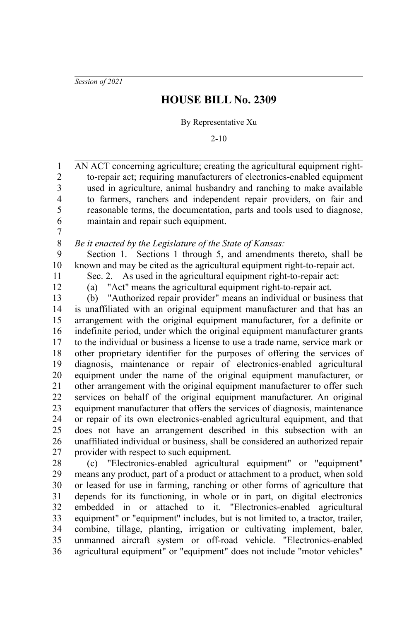*Session of 2021*

## **HOUSE BILL No. 2309**

By Representative Xu

2-10

AN ACT concerning agriculture; creating the agricultural equipment rightto-repair act; requiring manufacturers of electronics-enabled equipment used in agriculture, animal husbandry and ranching to make available to farmers, ranchers and independent repair providers, on fair and reasonable terms, the documentation, parts and tools used to diagnose, maintain and repair such equipment. 1 2 3 4 5 6

7 8

*Be it enacted by the Legislature of the State of Kansas:*

Section 1. Sections 1 through 5, and amendments thereto, shall be known and may be cited as the agricultural equipment right-to-repair act. 9 10

11 12 Sec. 2. As used in the agricultural equipment right-to-repair act: (a) "Act" means the agricultural equipment right-to-repair act.

(b) "Authorized repair provider" means an individual or business that is unaffiliated with an original equipment manufacturer and that has an arrangement with the original equipment manufacturer, for a definite or indefinite period, under which the original equipment manufacturer grants to the individual or business a license to use a trade name, service mark or other proprietary identifier for the purposes of offering the services of diagnosis, maintenance or repair of electronics-enabled agricultural equipment under the name of the original equipment manufacturer, or other arrangement with the original equipment manufacturer to offer such services on behalf of the original equipment manufacturer. An original equipment manufacturer that offers the services of diagnosis, maintenance or repair of its own electronics-enabled agricultural equipment, and that does not have an arrangement described in this subsection with an unaffiliated individual or business, shall be considered an authorized repair provider with respect to such equipment. 13 14 15 16 17 18 19 20 21 22 23 24 25 26 27

(c) "Electronics-enabled agricultural equipment" or "equipment" means any product, part of a product or attachment to a product, when sold or leased for use in farming, ranching or other forms of agriculture that depends for its functioning, in whole or in part, on digital electronics embedded in or attached to it. "Electronics-enabled agricultural equipment" or "equipment" includes, but is not limited to, a tractor, trailer, combine, tillage, planting, irrigation or cultivating implement, baler, unmanned aircraft system or off-road vehicle. "Electronics-enabled agricultural equipment" or "equipment" does not include "motor vehicles" 28 29 30 31 32 33 34 35 36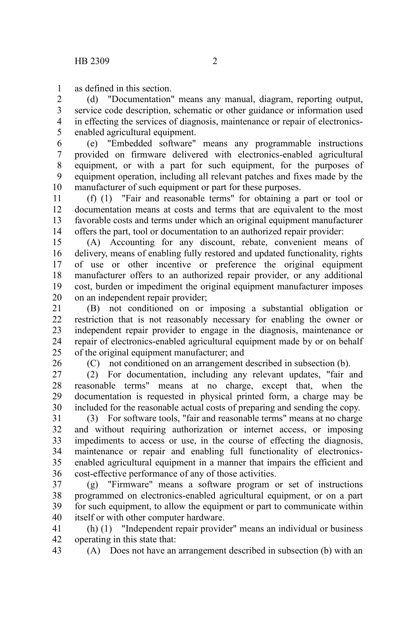as defined in this section. 1

(d) "Documentation" means any manual, diagram, reporting output, service code description, schematic or other guidance or information used in effecting the services of diagnosis, maintenance or repair of electronicsenabled agricultural equipment. 2 3 4 5

(e) "Embedded software" means any programmable instructions provided on firmware delivered with electronics-enabled agricultural equipment, or with a part for such equipment, for the purposes of equipment operation, including all relevant patches and fixes made by the manufacturer of such equipment or part for these purposes. 6 7 8 9 10

(f) (1) "Fair and reasonable terms" for obtaining a part or tool or documentation means at costs and terms that are equivalent to the most favorable costs and terms under which an original equipment manufacturer offers the part, tool or documentation to an authorized repair provider: 11 12 13 14

(A) Accounting for any discount, rebate, convenient means of delivery, means of enabling fully restored and updated functionality, rights of use or other incentive or preference the original equipment manufacturer offers to an authorized repair provider, or any additional cost, burden or impediment the original equipment manufacturer imposes on an independent repair provider; 15 16 17 18 19 20

(B) not conditioned on or imposing a substantial obligation or restriction that is not reasonably necessary for enabling the owner or independent repair provider to engage in the diagnosis, maintenance or repair of electronics-enabled agricultural equipment made by or on behalf of the original equipment manufacturer; and 21 22 23 24 25

26

(C) not conditioned on an arrangement described in subsection (b).

(2) For documentation, including any relevant updates, "fair and reasonable terms" means at no charge, except that, when the documentation is requested in physical printed form, a charge may be included for the reasonable actual costs of preparing and sending the copy. 27 28 29 30

(3) For software tools, "fair and reasonable terms" means at no charge and without requiring authorization or internet access, or imposing impediments to access or use, in the course of effecting the diagnosis, maintenance or repair and enabling full functionality of electronicsenabled agricultural equipment in a manner that impairs the efficient and cost-effective performance of any of those activities. 31 32 33 34 35 36

(g) "Firmware" means a software program or set of instructions programmed on electronics-enabled agricultural equipment, or on a part for such equipment, to allow the equipment or part to communicate within itself or with other computer hardware. 37 38 39 40

(h) (1) "Independent repair provider" means an individual or business operating in this state that: 41 42

(A) Does not have an arrangement described in subsection (b) with an 43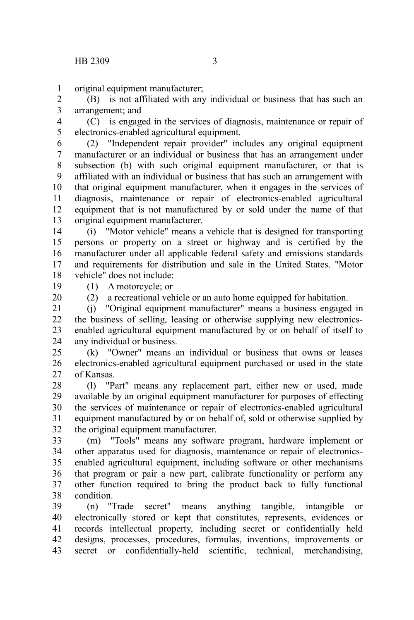original equipment manufacturer; 1

(B) is not affiliated with any individual or business that has such an arrangement; and 2 3

(C) is engaged in the services of diagnosis, maintenance or repair of electronics-enabled agricultural equipment. 4 5

(2) "Independent repair provider" includes any original equipment manufacturer or an individual or business that has an arrangement under subsection (b) with such original equipment manufacturer, or that is affiliated with an individual or business that has such an arrangement with that original equipment manufacturer, when it engages in the services of diagnosis, maintenance or repair of electronics-enabled agricultural equipment that is not manufactured by or sold under the name of that original equipment manufacturer. 6 7 8 9 10 11 12 13

(i) "Motor vehicle" means a vehicle that is designed for transporting persons or property on a street or highway and is certified by the manufacturer under all applicable federal safety and emissions standards and requirements for distribution and sale in the United States. "Motor vehicle" does not include: 14 15 16 17 18

(1) A motorcycle; or 19

20

(2) a recreational vehicle or an auto home equipped for habitation.

(j) "Original equipment manufacturer" means a business engaged in the business of selling, leasing or otherwise supplying new electronicsenabled agricultural equipment manufactured by or on behalf of itself to any individual or business. 21 22 23 24

(k) "Owner" means an individual or business that owns or leases electronics-enabled agricultural equipment purchased or used in the state of Kansas. 25 26 27

(l) "Part" means any replacement part, either new or used, made available by an original equipment manufacturer for purposes of effecting the services of maintenance or repair of electronics-enabled agricultural equipment manufactured by or on behalf of, sold or otherwise supplied by the original equipment manufacturer. 28 29 30 31 32

(m) "Tools" means any software program, hardware implement or other apparatus used for diagnosis, maintenance or repair of electronicsenabled agricultural equipment, including software or other mechanisms that program or pair a new part, calibrate functionality or perform any other function required to bring the product back to fully functional condition. 33 34 35 36 37 38

(n) "Trade secret" means anything tangible, intangible or electronically stored or kept that constitutes, represents, evidences or records intellectual property, including secret or confidentially held designs, processes, procedures, formulas, inventions, improvements or secret or confidentially-held scientific, technical, merchandising, 39 40 41 42 43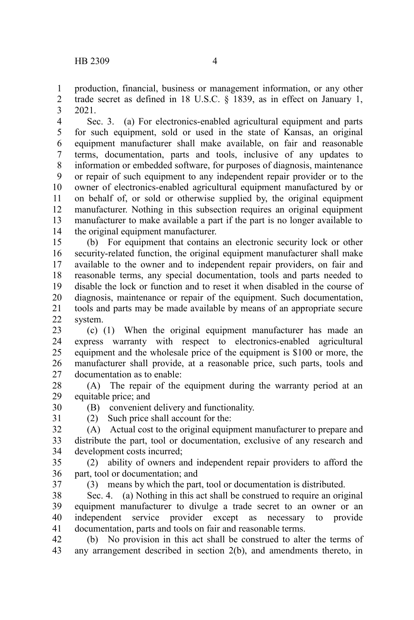production, financial, business or management information, or any other trade secret as defined in 18 U.S.C. § 1839, as in effect on January 1, 2021. 1 2 3

Sec. 3. (a) For electronics-enabled agricultural equipment and parts for such equipment, sold or used in the state of Kansas, an original equipment manufacturer shall make available, on fair and reasonable terms, documentation, parts and tools, inclusive of any updates to information or embedded software, for purposes of diagnosis, maintenance or repair of such equipment to any independent repair provider or to the owner of electronics-enabled agricultural equipment manufactured by or on behalf of, or sold or otherwise supplied by, the original equipment manufacturer. Nothing in this subsection requires an original equipment manufacturer to make available a part if the part is no longer available to the original equipment manufacturer. 4 5 6 7 8 9 10 11 12 13 14

(b) For equipment that contains an electronic security lock or other security-related function, the original equipment manufacturer shall make available to the owner and to independent repair providers, on fair and reasonable terms, any special documentation, tools and parts needed to disable the lock or function and to reset it when disabled in the course of diagnosis, maintenance or repair of the equipment. Such documentation, tools and parts may be made available by means of an appropriate secure system. 15 16 17 18 19 20 21 22

(c) (1) When the original equipment manufacturer has made an express warranty with respect to electronics-enabled agricultural equipment and the wholesale price of the equipment is \$100 or more, the manufacturer shall provide, at a reasonable price, such parts, tools and documentation as to enable: 23 24 25 26 27

(A) The repair of the equipment during the warranty period at an equitable price; and 28 29

- (B) convenient delivery and functionality. 30
- 31

(2) Such price shall account for the:

(A) Actual cost to the original equipment manufacturer to prepare and distribute the part, tool or documentation, exclusive of any research and development costs incurred; 32 33 34

(2) ability of owners and independent repair providers to afford the part, tool or documentation; and 35 36

37

(3) means by which the part, tool or documentation is distributed.

Sec. 4. (a) Nothing in this act shall be construed to require an original equipment manufacturer to divulge a trade secret to an owner or an independent service provider except as necessary to provide documentation, parts and tools on fair and reasonable terms. 38 39 40 41

(b) No provision in this act shall be construed to alter the terms of any arrangement described in section 2(b), and amendments thereto, in 42 43